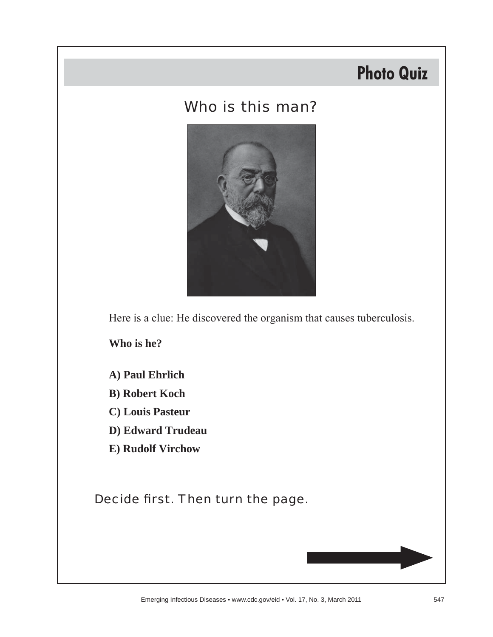# **Photo Quiz**

### Who is this man?



Here is a clue: He discovered the organism that causes tuberculosis.

**Who is he?**

- **A) Paul Ehrlich**
- **B) Robert Koch**
- **C) Louis Pasteur**
- **D) Edward Trudeau**
- **E) Rudolf Virchow**

Decide first. Then turn the page.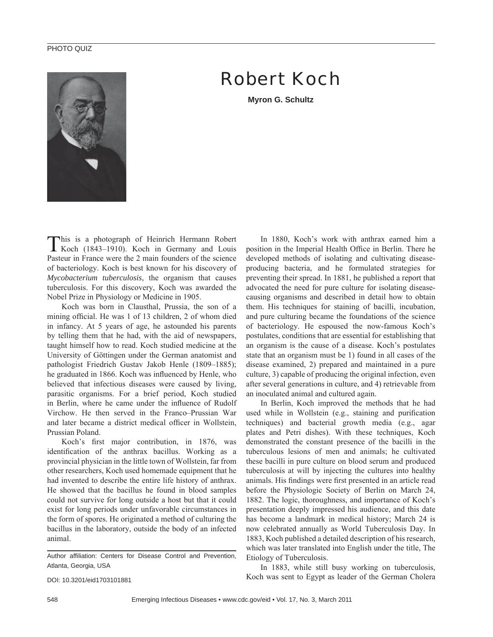#### PHOTO QUIZ



## Robert Koch

**Myron G. Schultz**

This is a photograph of Heinrich Hermann Robert Koch (1843–1910). Koch in Germany and Louis Pasteur in France were the 2 main founders of the science of bacteriology. Koch is best known for his discovery of *Mycobacterium tuberculosis*, the organism that causes tuberculosis. For this discovery, Koch was awarded the Nobel Prize in Physiology or Medicine in 1905.

Koch was born in Clausthal, Prussia, the son of a mining official. He was 1 of 13 children, 2 of whom died in infancy. At 5 years of age, he astounded his parents by telling them that he had, with the aid of newspapers, taught himself how to read. Koch studied medicine at the University of Göttingen under the German anatomist and pathologist Friedrich Gustav Jakob Henle (1809–1885); he graduated in 1866. Koch was influenced by Henle, who believed that infectious diseases were caused by living, parasitic organisms. For a brief period, Koch studied in Berlin, where he came under the influence of Rudolf Virchow. He then served in the Franco–Prussian War and later became a district medical officer in Wollstein. Prussian Poland.

Koch's first major contribution, in 1876, was identification of the anthrax bacillus. Working as a provincial physician in the little town of Wollstein, far from other researchers, Koch used homemade equipment that he had invented to describe the entire life history of anthrax. He showed that the bacillus he found in blood samples could not survive for long outside a host but that it could exist for long periods under unfavorable circumstances in the form of spores. He originated a method of culturing the bacillus in the laboratory, outside the body of an infected animal.

DOI: 10.3201/eid1703101881

In 1880, Koch's work with anthrax earned him a position in the Imperial Health Office in Berlin. There he developed methods of isolating and cultivating diseaseproducing bacteria, and he formulated strategies for preventing their spread. In 1881, he published a report that advocated the need for pure culture for isolating diseasecausing organisms and described in detail how to obtain them. His techniques for staining of bacilli, incubation, and pure culturing became the foundations of the science of bacteriology. He espoused the now-famous Koch's postulates, conditions that are essential for establishing that an organism is the cause of a disease. Koch's postulates state that an organism must be 1) found in all cases of the disease examined, 2) prepared and maintained in a pure culture, 3) capable of producing the original infection, even after several generations in culture, and 4) retrievable from an inoculated animal and cultured again.

In Berlin, Koch improved the methods that he had used while in Wollstein (e.g., staining and purification techniques) and bacterial growth media (e.g., agar plates and Petri dishes). With these techniques, Koch demonstrated the constant presence of the bacilli in the tuberculous lesions of men and animals; he cultivated these bacilli in pure culture on blood serum and produced tuberculosis at will by injecting the cultures into healthy animals. His findings were first presented in an article read before the Physiologic Society of Berlin on March 24, 1882. The logic, thoroughness, and importance of Koch's presentation deeply impressed his audience, and this date has become a landmark in medical history; March 24 is now celebrated annually as World Tuberculosis Day. In 1883, Koch published a detailed description of his research, which was later translated into English under the title, The Etiology of Tuberculosis.

In 1883, while still busy working on tuberculosis, Koch was sent to Egypt as leader of the German Cholera

Author affiliation: Centers for Disease Control and Prevention, Atlanta, Georgia, USA